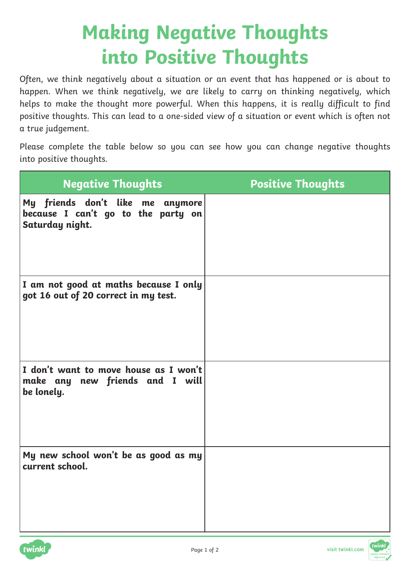## **Making Negative Thoughts into Positive Thoughts**

Often, we think negatively about a situation or an event that has happened or is about to happen. When we think negatively, we are likely to carry on thinking negatively, which helps to make the thought more powerful. When this happens, it is really difficult to find positive thoughts. This can lead to a one-sided view of a situation or event which is often not a true judgement.

Please complete the table below so you can see how you can change negative thoughts into positive thoughts.

| <b>Negative Thoughts</b>                                                                  | <b>Positive Thoughts</b> |
|-------------------------------------------------------------------------------------------|--------------------------|
| My friends don't like me anymore<br>because I can't go to the party on<br>Saturday night. |                          |
| I am not good at maths because I only<br>got 16 out of 20 correct in my test.             |                          |
| I don't want to move house as I won't<br>make any new friends and I will<br>be lonely.    |                          |
| My new school won't be as good as my<br>current school.                                   |                          |